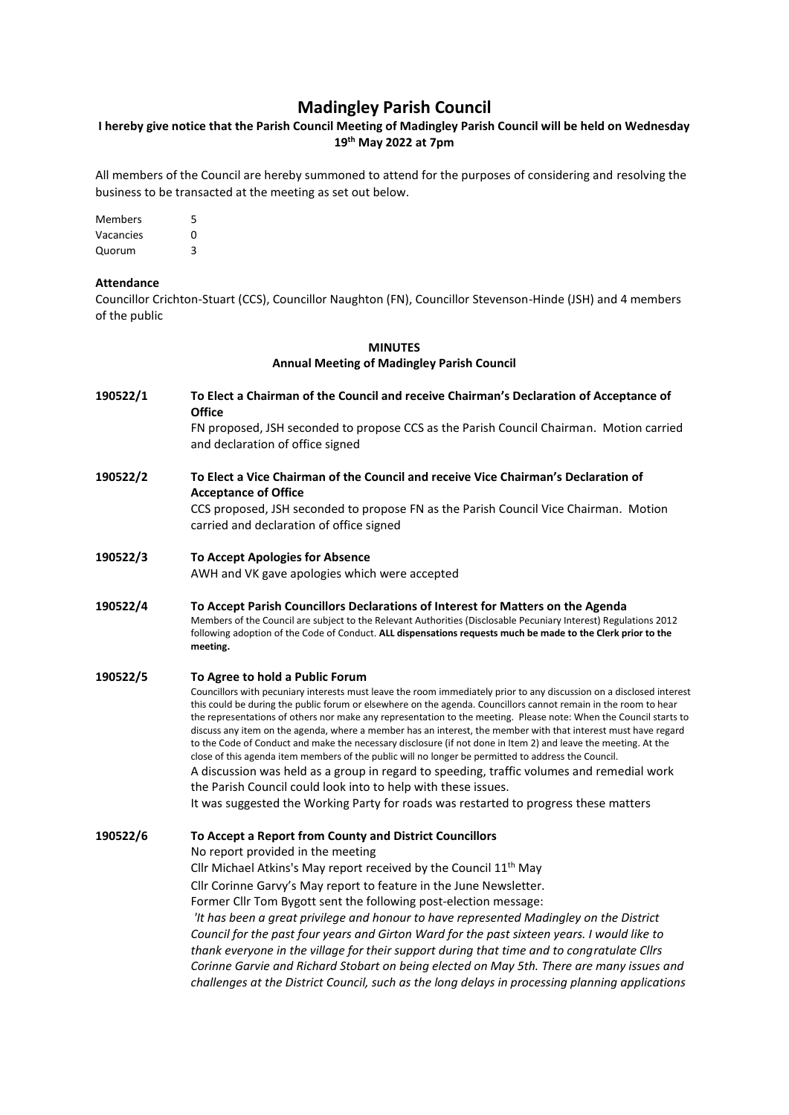# **Madingley Parish Council**

## **I hereby give notice that the Parish Council Meeting of Madingley Parish Council will be held on Wednesday 19th May 2022 at 7pm**

All members of the Council are hereby summoned to attend for the purposes of considering and resolving the business to be transacted at the meeting as set out below.

Members 5 Vacancies 0 Quorum 3

#### **Attendance**

Councillor Crichton-Stuart (CCS), Councillor Naughton (FN), Councillor Stevenson-Hinde (JSH) and 4 members of the public

## **MINUTES Annual Meeting of Madingley Parish Council**

**190522/1 To Elect a Chairman of the Council and receive Chairman's Declaration of Acceptance of Office**

FN proposed, JSH seconded to propose CCS as the Parish Council Chairman. Motion carried and declaration of office signed

**190522/2 To Elect a Vice Chairman of the Council and receive Vice Chairman's Declaration of Acceptance of Office**

CCS proposed, JSH seconded to propose FN as the Parish Council Vice Chairman. Motion carried and declaration of office signed

- **190522/3 To Accept Apologies for Absence** AWH and VK gave apologies which were accepted
- **190522/4 To Accept Parish Councillors Declarations of Interest for Matters on the Agenda** Members of the Council are subject to the Relevant Authorities (Disclosable Pecuniary Interest) Regulations 2012 following adoption of the Code of Conduct. **ALL dispensations requests much be made to the Clerk prior to the meeting.**

#### **190522/5 To Agree to hold a Public Forum**

Councillors with pecuniary interests must leave the room immediately prior to any discussion on a disclosed interest this could be during the public forum or elsewhere on the agenda. Councillors cannot remain in the room to hear the representations of others nor make any representation to the meeting. Please note: When the Council starts to discuss any item on the agenda, where a member has an interest, the member with that interest must have regard to the Code of Conduct and make the necessary disclosure (if not done in Item 2) and leave the meeting. At the close of this agenda item members of the public will no longer be permitted to address the Council. A discussion was held as a group in regard to speeding, traffic volumes and remedial work the Parish Council could look into to help with these issues.

It was suggested the Working Party for roads was restarted to progress these matters

**190522/6 To Accept a Report from County and District Councillors** No report provided in the meeting Cllr Michael Atkins's May report received by the Council 11th May Cllr Corinne Garvy's May report to feature in the June Newsletter. Former Cllr Tom Bygott sent the following post-election message: *'It has been a great privilege and honour to have represented Madingley on the District Council for the past four years and Girton Ward for the past sixteen years. I would like to thank everyone in the village for their support during that time and to congratulate Cllrs Corinne Garvie and Richard Stobart on being elected on May 5th. There are many issues and challenges at the District Council, such as the long delays in processing planning applications*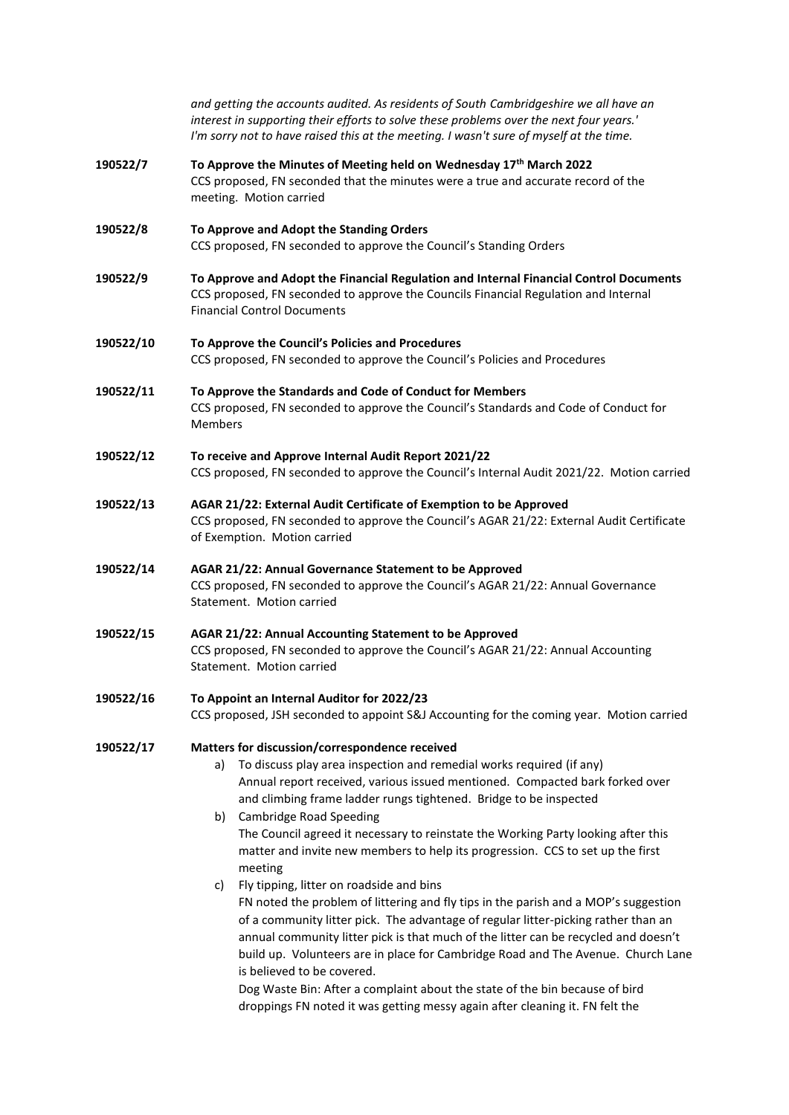|           | and getting the accounts audited. As residents of South Cambridgeshire we all have an<br>interest in supporting their efforts to solve these problems over the next four years.'<br>I'm sorry not to have raised this at the meeting. I wasn't sure of myself at the time.                                                                                                                                                                                                                                                                                                                                                                                                                                                                                                                                                                                                                                                                          |  |  |
|-----------|-----------------------------------------------------------------------------------------------------------------------------------------------------------------------------------------------------------------------------------------------------------------------------------------------------------------------------------------------------------------------------------------------------------------------------------------------------------------------------------------------------------------------------------------------------------------------------------------------------------------------------------------------------------------------------------------------------------------------------------------------------------------------------------------------------------------------------------------------------------------------------------------------------------------------------------------------------|--|--|
| 190522/7  | To Approve the Minutes of Meeting held on Wednesday 17th March 2022<br>CCS proposed, FN seconded that the minutes were a true and accurate record of the<br>meeting. Motion carried                                                                                                                                                                                                                                                                                                                                                                                                                                                                                                                                                                                                                                                                                                                                                                 |  |  |
| 190522/8  | To Approve and Adopt the Standing Orders<br>CCS proposed, FN seconded to approve the Council's Standing Orders                                                                                                                                                                                                                                                                                                                                                                                                                                                                                                                                                                                                                                                                                                                                                                                                                                      |  |  |
| 190522/9  | To Approve and Adopt the Financial Regulation and Internal Financial Control Documents<br>CCS proposed, FN seconded to approve the Councils Financial Regulation and Internal<br><b>Financial Control Documents</b>                                                                                                                                                                                                                                                                                                                                                                                                                                                                                                                                                                                                                                                                                                                                 |  |  |
| 190522/10 | To Approve the Council's Policies and Procedures<br>CCS proposed, FN seconded to approve the Council's Policies and Procedures                                                                                                                                                                                                                                                                                                                                                                                                                                                                                                                                                                                                                                                                                                                                                                                                                      |  |  |
| 190522/11 | To Approve the Standards and Code of Conduct for Members<br>CCS proposed, FN seconded to approve the Council's Standards and Code of Conduct for<br><b>Members</b>                                                                                                                                                                                                                                                                                                                                                                                                                                                                                                                                                                                                                                                                                                                                                                                  |  |  |
| 190522/12 | To receive and Approve Internal Audit Report 2021/22<br>CCS proposed, FN seconded to approve the Council's Internal Audit 2021/22. Motion carried                                                                                                                                                                                                                                                                                                                                                                                                                                                                                                                                                                                                                                                                                                                                                                                                   |  |  |
| 190522/13 | AGAR 21/22: External Audit Certificate of Exemption to be Approved<br>CCS proposed, FN seconded to approve the Council's AGAR 21/22: External Audit Certificate<br>of Exemption. Motion carried                                                                                                                                                                                                                                                                                                                                                                                                                                                                                                                                                                                                                                                                                                                                                     |  |  |
| 190522/14 | AGAR 21/22: Annual Governance Statement to be Approved<br>CCS proposed, FN seconded to approve the Council's AGAR 21/22: Annual Governance<br>Statement. Motion carried                                                                                                                                                                                                                                                                                                                                                                                                                                                                                                                                                                                                                                                                                                                                                                             |  |  |
| 190522/15 | AGAR 21/22: Annual Accounting Statement to be Approved<br>CCS proposed, FN seconded to approve the Council's AGAR 21/22: Annual Accounting<br>Statement. Motion carried                                                                                                                                                                                                                                                                                                                                                                                                                                                                                                                                                                                                                                                                                                                                                                             |  |  |
| 190522/16 | To Appoint an Internal Auditor for 2022/23<br>CCS proposed, JSH seconded to appoint S&J Accounting for the coming year. Motion carried                                                                                                                                                                                                                                                                                                                                                                                                                                                                                                                                                                                                                                                                                                                                                                                                              |  |  |
| 190522/17 | Matters for discussion/correspondence received<br>To discuss play area inspection and remedial works required (if any)<br>a)<br>Annual report received, various issued mentioned. Compacted bark forked over<br>and climbing frame ladder rungs tightened. Bridge to be inspected<br><b>Cambridge Road Speeding</b><br>b)<br>The Council agreed it necessary to reinstate the Working Party looking after this<br>matter and invite new members to help its progression. CCS to set up the first<br>meeting<br>Fly tipping, litter on roadside and bins<br>c)<br>FN noted the problem of littering and fly tips in the parish and a MOP's suggestion<br>of a community litter pick. The advantage of regular litter-picking rather than an<br>annual community litter pick is that much of the litter can be recycled and doesn't<br>build up. Volunteers are in place for Cambridge Road and The Avenue. Church Lane<br>is believed to be covered. |  |  |
|           | Dog Waste Bin: After a complaint about the state of the bin because of bird<br>droppings FN noted it was getting messy again after cleaning it. FN felt the                                                                                                                                                                                                                                                                                                                                                                                                                                                                                                                                                                                                                                                                                                                                                                                         |  |  |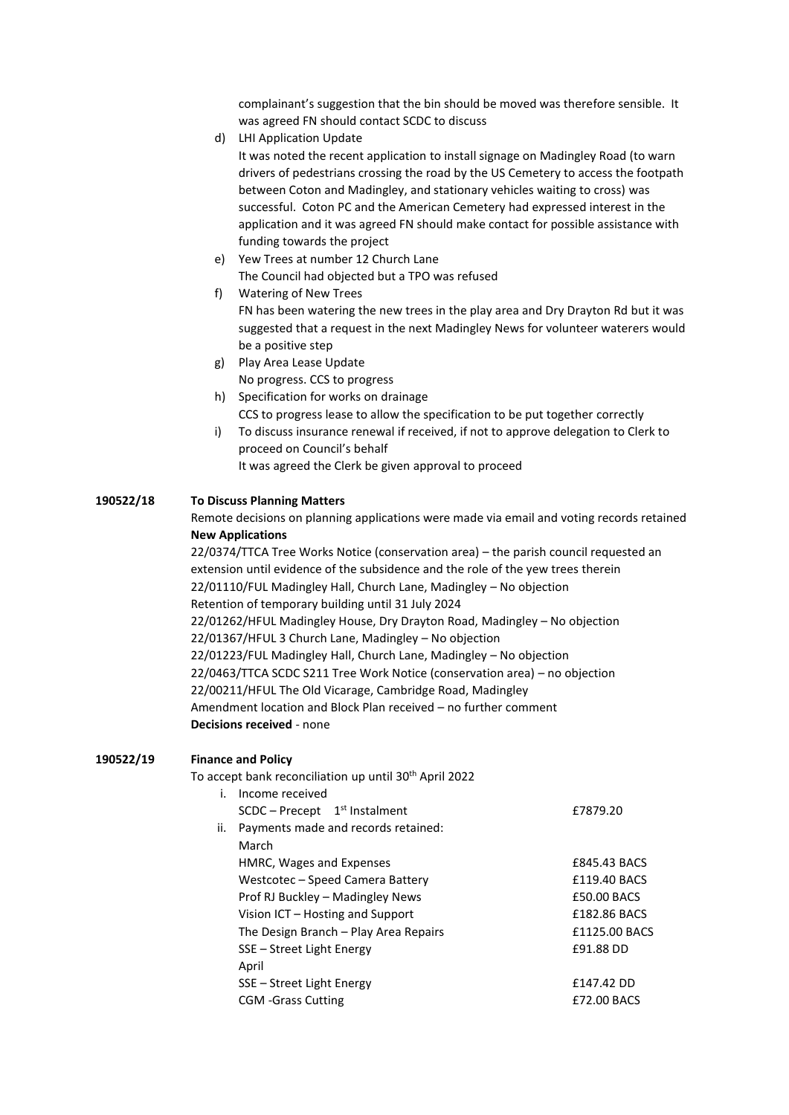complainant's suggestion that the bin should be moved was therefore sensible. It was agreed FN should contact SCDC to discuss

d) LHI Application Update

It was noted the recent application to install signage on Madingley Road (to warn drivers of pedestrians crossing the road by the US Cemetery to access the footpath between Coton and Madingley, and stationary vehicles waiting to cross) was successful. Coton PC and the American Cemetery had expressed interest in the application and it was agreed FN should make contact for possible assistance with funding towards the project

- e) Yew Trees at number 12 Church Lane The Council had objected but a TPO was refused
- f) Watering of New Trees FN has been watering the new trees in the play area and Dry Drayton Rd but it was suggested that a request in the next Madingley News for volunteer waterers would be a positive step
- g) Play Area Lease Update No progress. CCS to progress
- h) Specification for works on drainage CCS to progress lease to allow the specification to be put together correctly
- i) To discuss insurance renewal if received, if not to approve delegation to Clerk to proceed on Council's behalf
	- It was agreed the Clerk be given approval to proceed

## **190522/18 To Discuss Planning Matters**

Remote decisions on planning applications were made via email and voting records retained **New Applications**

22/0374/TTCA Tree Works Notice (conservation area) – the parish council requested an extension until evidence of the subsidence and the role of the yew trees therein 22/01110/FUL Madingley Hall, Church Lane, Madingley – No objection Retention of temporary building until 31 July 2024 22/01262/HFUL Madingley House, Dry Drayton Road, Madingley – No objection 22/01367/HFUL 3 Church Lane, Madingley – No objection 22/01223/FUL Madingley Hall, Church Lane, Madingley – No objection 22/0463/TTCA SCDC S211 Tree Work Notice (conservation area) – no objection 22/00211/HFUL The Old Vicarage, Cambridge Road, Madingley Amendment location and Block Plan received – no further comment **Decisions received** - none

### **190522/19 Finance and Policy**

To accept bank reconciliation up until 30th April 2022

|     | Income received                             |                   |
|-----|---------------------------------------------|-------------------|
|     | $SCDC - Precept$ 1 <sup>st</sup> Instalment | £7879.20          |
| ii. | Payments made and records retained:         |                   |
|     | March                                       |                   |
|     | HMRC, Wages and Expenses                    | £845.43 BACS      |
|     | Westcotec - Speed Camera Battery            | £119.40 BACS      |
|     | Prof RJ Buckley – Madingley News            | £50.00 BACS       |
|     | Vision ICT - Hosting and Support            | £182.86 BACS      |
|     | The Design Branch – Play Area Repairs       | £1125.00 BACS     |
|     | SSE – Street Light Energy                   | £91.88 DD         |
|     | April                                       |                   |
|     | SSE – Street Light Energy                   | <b>f147.42 DD</b> |
|     | <b>CGM</b> -Grass Cutting                   | £72.00 BACS       |
|     |                                             |                   |